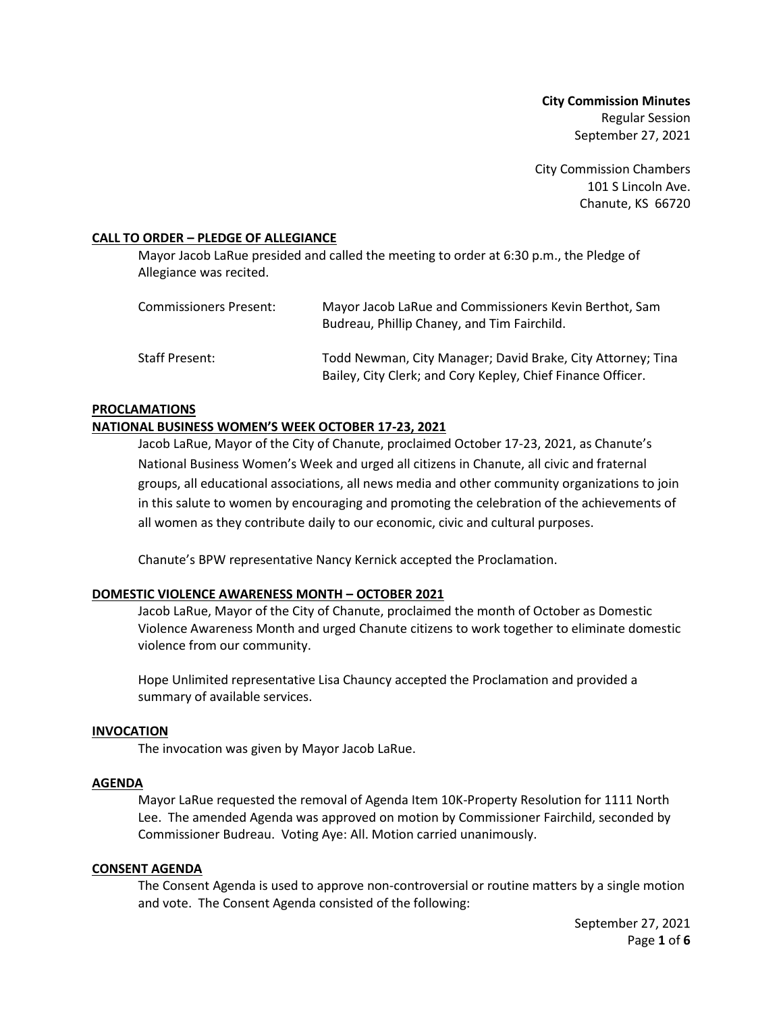**City Commission Minutes** Regular Session September 27, 2021

City Commission Chambers 101 S Lincoln Ave. Chanute, KS 66720

### **CALL TO ORDER – PLEDGE OF ALLEGIANCE**

Mayor Jacob LaRue presided and called the meeting to order at 6:30 p.m., the Pledge of Allegiance was recited.

| <b>Commissioners Present:</b> | Mayor Jacob LaRue and Commissioners Kevin Berthot, Sam<br>Budreau, Phillip Chaney, and Tim Fairchild.                      |
|-------------------------------|----------------------------------------------------------------------------------------------------------------------------|
| Staff Present:                | Todd Newman, City Manager; David Brake, City Attorney; Tina<br>Bailey, City Clerk; and Cory Kepley, Chief Finance Officer. |

#### **PROCLAMATIONS**

### **NATIONAL BUSINESS WOMEN'S WEEK OCTOBER 17-23, 2021**

Jacob LaRue, Mayor of the City of Chanute, proclaimed October 17-23, 2021, as Chanute's National Business Women's Week and urged all citizens in Chanute, all civic and fraternal groups, all educational associations, all news media and other community organizations to join in this salute to women by encouraging and promoting the celebration of the achievements of all women as they contribute daily to our economic, civic and cultural purposes.

Chanute's BPW representative Nancy Kernick accepted the Proclamation.

### **DOMESTIC VIOLENCE AWARENESS MONTH – OCTOBER 2021**

Jacob LaRue, Mayor of the City of Chanute, proclaimed the month of October as Domestic Violence Awareness Month and urged Chanute citizens to work together to eliminate domestic violence from our community.

Hope Unlimited representative Lisa Chauncy accepted the Proclamation and provided a summary of available services.

### **INVOCATION**

The invocation was given by Mayor Jacob LaRue.

### **AGENDA**

Mayor LaRue requested the removal of Agenda Item 10K-Property Resolution for 1111 North Lee. The amended Agenda was approved on motion by Commissioner Fairchild, seconded by Commissioner Budreau. Voting Aye: All. Motion carried unanimously.

### **CONSENT AGENDA**

The Consent Agenda is used to approve non-controversial or routine matters by a single motion and vote. The Consent Agenda consisted of the following: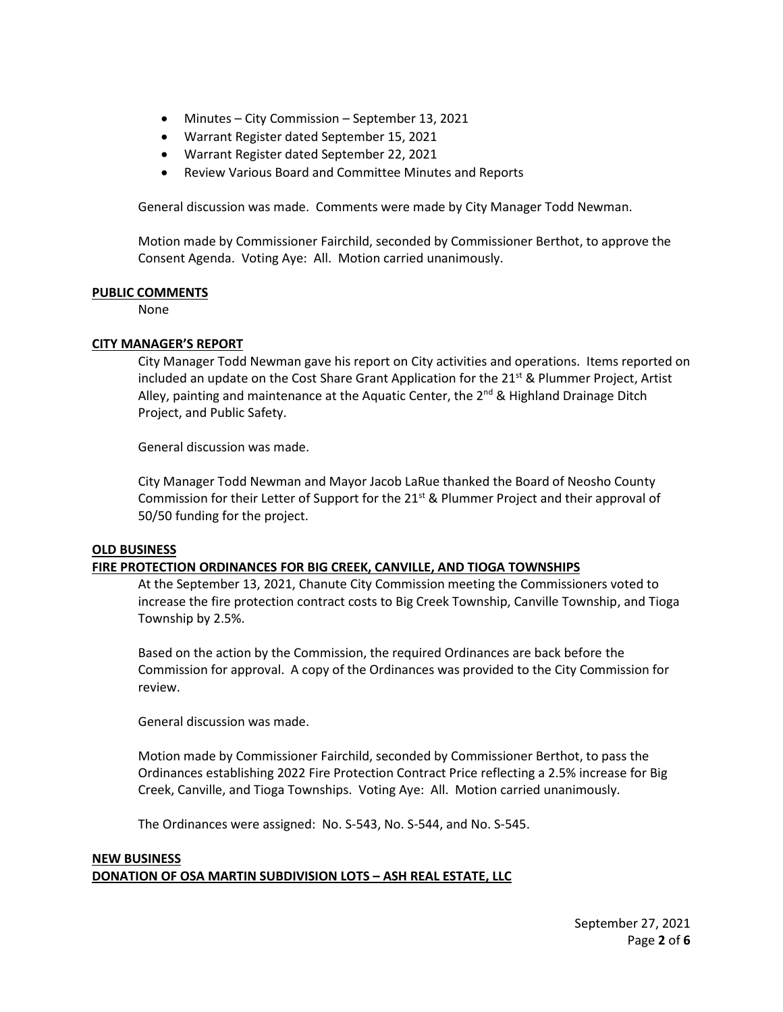- Minutes City Commission September 13, 2021
- Warrant Register dated September 15, 2021
- Warrant Register dated September 22, 2021
- Review Various Board and Committee Minutes and Reports

General discussion was made. Comments were made by City Manager Todd Newman.

Motion made by Commissioner Fairchild, seconded by Commissioner Berthot, to approve the Consent Agenda. Voting Aye: All. Motion carried unanimously.

### **PUBLIC COMMENTS**

None

# **CITY MANAGER'S REPORT**

City Manager Todd Newman gave his report on City activities and operations. Items reported on included an update on the Cost Share Grant Application for the 21<sup>st</sup> & Plummer Project, Artist Alley, painting and maintenance at the Aquatic Center, the  $2^{nd}$  & Highland Drainage Ditch Project, and Public Safety.

General discussion was made.

City Manager Todd Newman and Mayor Jacob LaRue thanked the Board of Neosho County Commission for their Letter of Support for the  $21<sup>st</sup>$  & Plummer Project and their approval of 50/50 funding for the project.

# **OLD BUSINESS**

# **FIRE PROTECTION ORDINANCES FOR BIG CREEK, CANVILLE, AND TIOGA TOWNSHIPS**

At the September 13, 2021, Chanute City Commission meeting the Commissioners voted to increase the fire protection contract costs to Big Creek Township, Canville Township, and Tioga Township by 2.5%.

Based on the action by the Commission, the required Ordinances are back before the Commission for approval. A copy of the Ordinances was provided to the City Commission for review.

General discussion was made.

Motion made by Commissioner Fairchild, seconded by Commissioner Berthot, to pass the Ordinances establishing 2022 Fire Protection Contract Price reflecting a 2.5% increase for Big Creek, Canville, and Tioga Townships. Voting Aye: All. Motion carried unanimously.

The Ordinances were assigned: No. S-543, No. S-544, and No. S-545.

# **NEW BUSINESS DONATION OF OSA MARTIN SUBDIVISION LOTS – ASH REAL ESTATE, LLC**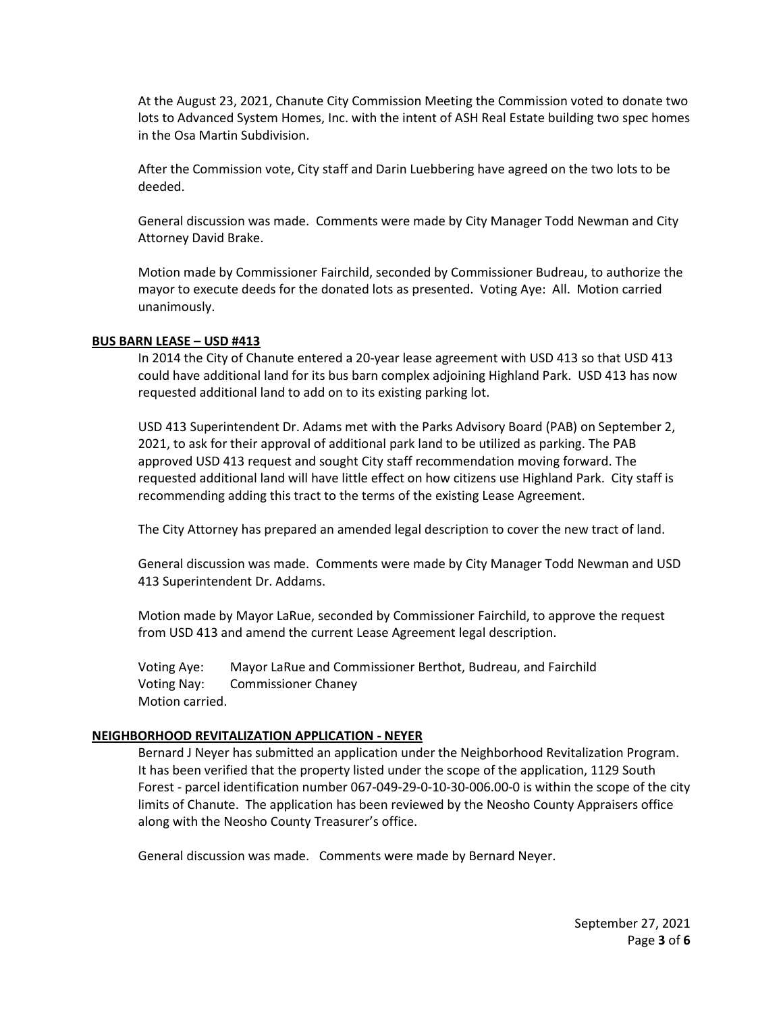At the August 23, 2021, Chanute City Commission Meeting the Commission voted to donate two lots to Advanced System Homes, Inc. with the intent of ASH Real Estate building two spec homes in the Osa Martin Subdivision.

After the Commission vote, City staff and Darin Luebbering have agreed on the two lots to be deeded.

General discussion was made. Comments were made by City Manager Todd Newman and City Attorney David Brake.

Motion made by Commissioner Fairchild, seconded by Commissioner Budreau, to authorize the mayor to execute deeds for the donated lots as presented. Voting Aye: All. Motion carried unanimously.

### **BUS BARN LEASE – USD #413**

In 2014 the City of Chanute entered a 20-year lease agreement with USD 413 so that USD 413 could have additional land for its bus barn complex adjoining Highland Park. USD 413 has now requested additional land to add on to its existing parking lot.

USD 413 Superintendent Dr. Adams met with the Parks Advisory Board (PAB) on September 2, 2021, to ask for their approval of additional park land to be utilized as parking. The PAB approved USD 413 request and sought City staff recommendation moving forward. The requested additional land will have little effect on how citizens use Highland Park. City staff is recommending adding this tract to the terms of the existing Lease Agreement.

The City Attorney has prepared an amended legal description to cover the new tract of land.

General discussion was made. Comments were made by City Manager Todd Newman and USD 413 Superintendent Dr. Addams.

Motion made by Mayor LaRue, seconded by Commissioner Fairchild, to approve the request from USD 413 and amend the current Lease Agreement legal description.

Voting Aye: Mayor LaRue and Commissioner Berthot, Budreau, and Fairchild Voting Nay: Commissioner Chaney Motion carried.

#### **NEIGHBORHOOD REVITALIZATION APPLICATION - NEYER**

Bernard J Neyer has submitted an application under the Neighborhood Revitalization Program. It has been verified that the property listed under the scope of the application, 1129 South Forest - parcel identification number 067-049-29-0-10-30-006.00-0 is within the scope of the city limits of Chanute. The application has been reviewed by the Neosho County Appraisers office along with the Neosho County Treasurer's office.

General discussion was made. Comments were made by Bernard Neyer.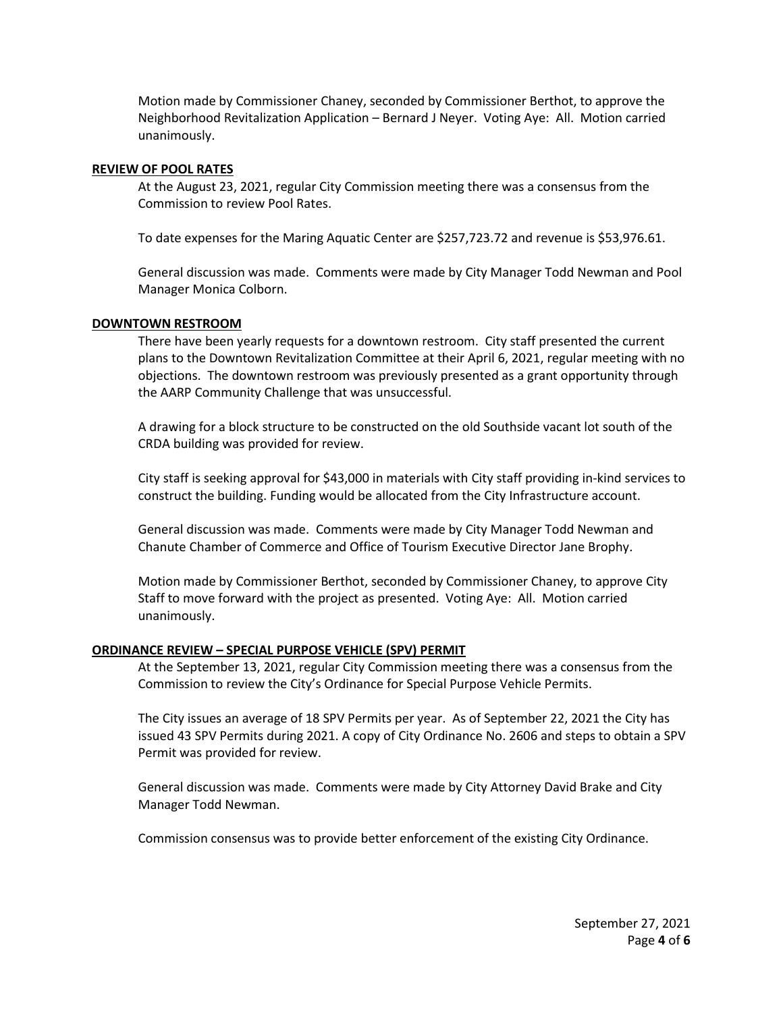Motion made by Commissioner Chaney, seconded by Commissioner Berthot, to approve the Neighborhood Revitalization Application – Bernard J Neyer. Voting Aye: All. Motion carried unanimously.

### **REVIEW OF POOL RATES**

At the August 23, 2021, regular City Commission meeting there was a consensus from the Commission to review Pool Rates.

To date expenses for the Maring Aquatic Center are \$257,723.72 and revenue is \$53,976.61.

General discussion was made. Comments were made by City Manager Todd Newman and Pool Manager Monica Colborn.

#### **DOWNTOWN RESTROOM**

There have been yearly requests for a downtown restroom. City staff presented the current plans to the Downtown Revitalization Committee at their April 6, 2021, regular meeting with no objections. The downtown restroom was previously presented as a grant opportunity through the AARP Community Challenge that was unsuccessful.

A drawing for a block structure to be constructed on the old Southside vacant lot south of the CRDA building was provided for review.

City staff is seeking approval for \$43,000 in materials with City staff providing in-kind services to construct the building. Funding would be allocated from the City Infrastructure account.

General discussion was made. Comments were made by City Manager Todd Newman and Chanute Chamber of Commerce and Office of Tourism Executive Director Jane Brophy.

Motion made by Commissioner Berthot, seconded by Commissioner Chaney, to approve City Staff to move forward with the project as presented. Voting Aye: All. Motion carried unanimously.

#### **ORDINANCE REVIEW – SPECIAL PURPOSE VEHICLE (SPV) PERMIT**

At the September 13, 2021, regular City Commission meeting there was a consensus from the Commission to review the City's Ordinance for Special Purpose Vehicle Permits.

The City issues an average of 18 SPV Permits per year. As of September 22, 2021 the City has issued 43 SPV Permits during 2021. A copy of City Ordinance No. 2606 and steps to obtain a SPV Permit was provided for review.

General discussion was made. Comments were made by City Attorney David Brake and City Manager Todd Newman.

Commission consensus was to provide better enforcement of the existing City Ordinance.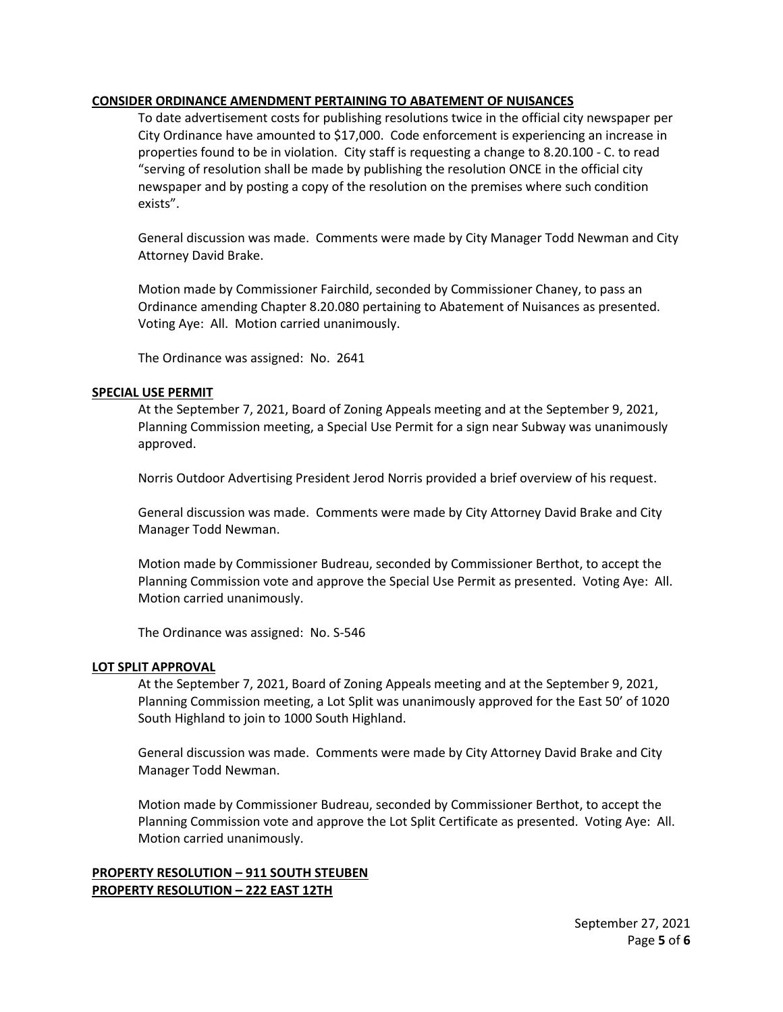# **CONSIDER ORDINANCE AMENDMENT PERTAINING TO ABATEMENT OF NUISANCES**

To date advertisement costs for publishing resolutions twice in the official city newspaper per City Ordinance have amounted to \$17,000. Code enforcement is experiencing an increase in properties found to be in violation. City staff is requesting a change to 8.20.100 - C. to read "serving of resolution shall be made by publishing the resolution ONCE in the official city newspaper and by posting a copy of the resolution on the premises where such condition exists".

General discussion was made. Comments were made by City Manager Todd Newman and City Attorney David Brake.

Motion made by Commissioner Fairchild, seconded by Commissioner Chaney, to pass an Ordinance amending Chapter 8.20.080 pertaining to Abatement of Nuisances as presented. Voting Aye: All. Motion carried unanimously.

The Ordinance was assigned: No. 2641

### **SPECIAL USE PERMIT**

At the September 7, 2021, Board of Zoning Appeals meeting and at the September 9, 2021, Planning Commission meeting, a Special Use Permit for a sign near Subway was unanimously approved.

Norris Outdoor Advertising President Jerod Norris provided a brief overview of his request.

General discussion was made. Comments were made by City Attorney David Brake and City Manager Todd Newman.

Motion made by Commissioner Budreau, seconded by Commissioner Berthot, to accept the Planning Commission vote and approve the Special Use Permit as presented. Voting Aye: All. Motion carried unanimously.

The Ordinance was assigned: No. S-546

### **LOT SPLIT APPROVAL**

At the September 7, 2021, Board of Zoning Appeals meeting and at the September 9, 2021, Planning Commission meeting, a Lot Split was unanimously approved for the East 50' of 1020 South Highland to join to 1000 South Highland.

General discussion was made. Comments were made by City Attorney David Brake and City Manager Todd Newman.

Motion made by Commissioner Budreau, seconded by Commissioner Berthot, to accept the Planning Commission vote and approve the Lot Split Certificate as presented. Voting Aye: All. Motion carried unanimously.

# **PROPERTY RESOLUTION – 911 SOUTH STEUBEN PROPERTY RESOLUTION – 222 EAST 12TH**